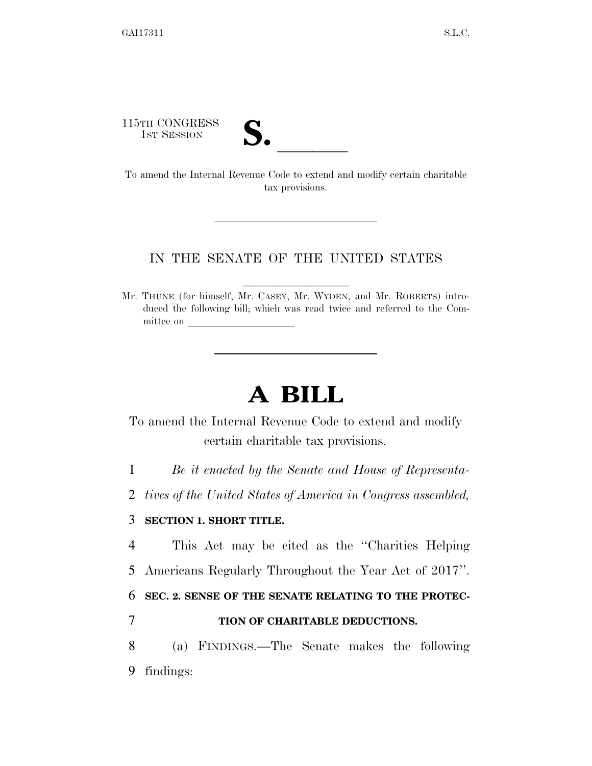115TH CONGRESS

| ◥                                                |  |  |
|--------------------------------------------------|--|--|
| $\overline{\mathsf{v}}\hspace{-1.5pt}\mathsf{v}$ |  |  |

115TH CONGRESS<br>
1ST SESSION<br>
To amend the Internal Revenue Code to extend and modify certain charitable tax provisions.

#### IN THE SENATE OF THE UNITED STATES

Mr. THUNE (for himself, Mr. CASEY, Mr. WYDEN, and Mr. ROBERTS) introduced the following bill; which was read twice and referred to the Committee on

# **A BILL**

To amend the Internal Revenue Code to extend and modify certain charitable tax provisions.

1 *Be it enacted by the Senate and House of Representa-*

2 *tives of the United States of America in Congress assembled,* 

#### 3 **SECTION 1. SHORT TITLE.**

4 This Act may be cited as the ''Charities Helping 5 Americans Regularly Throughout the Year Act of 2017''.

6 **SEC. 2. SENSE OF THE SENATE RELATING TO THE PROTEC-**

### 7 **TION OF CHARITABLE DEDUCTIONS.**

8 (a) FINDINGS.—The Senate makes the following 9 findings: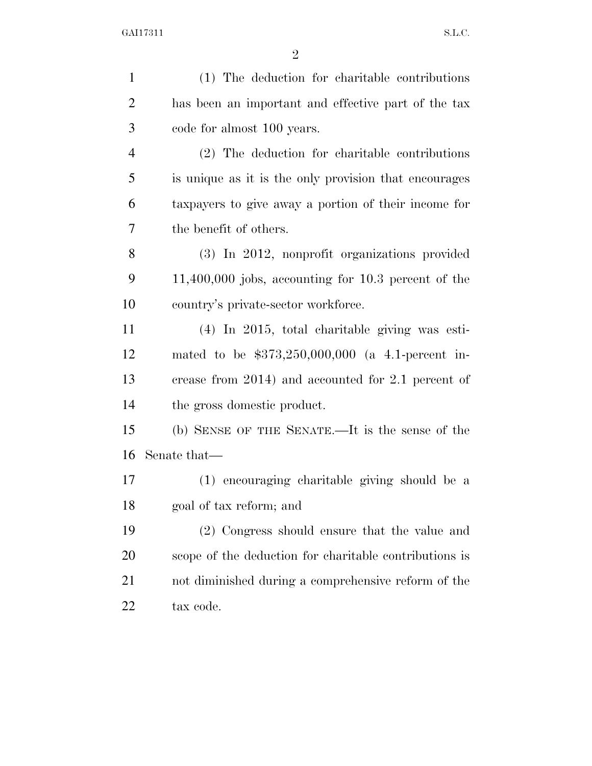| $\mathbf{1}$   | (1) The deduction for charitable contributions          |
|----------------|---------------------------------------------------------|
| $\overline{2}$ | has been an important and effective part of the tax     |
| 3              | code for almost 100 years.                              |
| $\overline{4}$ | (2) The deduction for charitable contributions          |
| 5              | is unique as it is the only provision that encourages   |
| 6              | taxpayers to give away a portion of their income for    |
| 7              | the benefit of others.                                  |
| 8              | (3) In 2012, nonprofit organizations provided           |
| 9              | $11,400,000$ jobs, accounting for $10.3$ percent of the |
| 10             | country's private-sector workforce.                     |
| 11             | $(4)$ In 2015, total charitable giving was esti-        |
| 12             | mated to be $$373,250,000,000$ (a 4.1-percent in-       |
| 13             | crease from 2014) and accounted for 2.1 percent of      |
| 14             | the gross domestic product.                             |
| 15             | (b) SENSE OF THE SENATE.—It is the sense of the         |
| 16             | Senate that—                                            |
| 17             | (1) encouraging charitable giving should be a           |
| 18             | goal of tax reform; and                                 |
| 19             | (2) Congress should ensure that the value and           |
| 20             | scope of the deduction for charitable contributions is  |
| 21             | not diminished during a comprehensive reform of the     |
| 22             | tax code.                                               |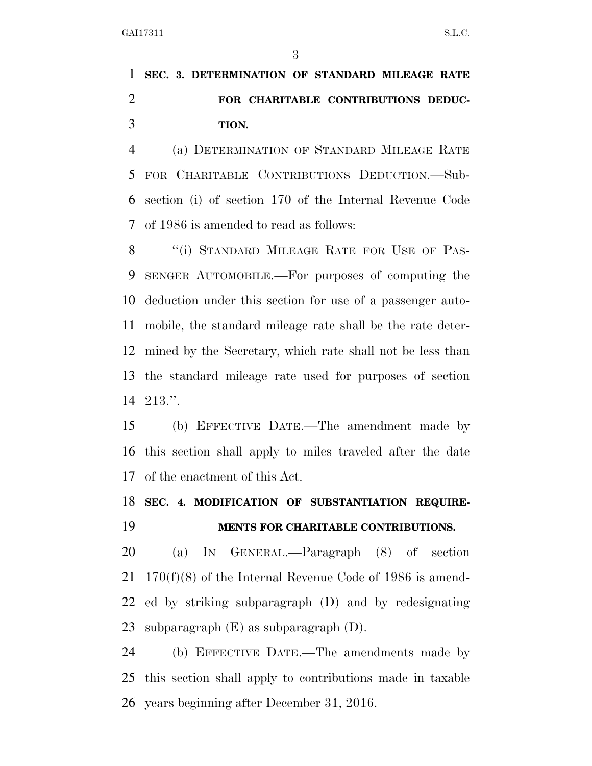## **SEC. 3. DETERMINATION OF STANDARD MILEAGE RATE FOR CHARITABLE CONTRIBUTIONS DEDUC-TION.**

 (a) DETERMINATION OF STANDARD MILEAGE RATE FOR CHARITABLE CONTRIBUTIONS DEDUCTION.—Sub- section (i) of section 170 of the Internal Revenue Code of 1986 is amended to read as follows:

8 "(i) STANDARD MILEAGE RATE FOR USE OF PAS- SENGER AUTOMOBILE.—For purposes of computing the deduction under this section for use of a passenger auto- mobile, the standard mileage rate shall be the rate deter- mined by the Secretary, which rate shall not be less than the standard mileage rate used for purposes of section 213.''.

 (b) EFFECTIVE DATE.—The amendment made by this section shall apply to miles traveled after the date of the enactment of this Act.

### **SEC. 4. MODIFICATION OF SUBSTANTIATION REQUIRE-MENTS FOR CHARITABLE CONTRIBUTIONS.**

 (a) IN GENERAL.—Paragraph (8) of section 170(f)(8) of the Internal Revenue Code of 1986 is amend- ed by striking subparagraph (D) and by redesignating subparagraph (E) as subparagraph (D).

 (b) EFFECTIVE DATE.—The amendments made by this section shall apply to contributions made in taxable years beginning after December 31, 2016.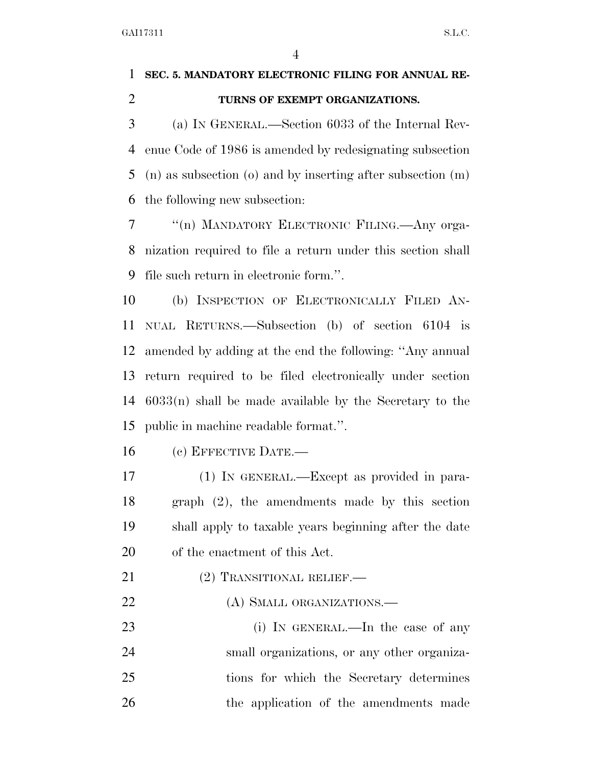### **SEC. 5. MANDATORY ELECTRONIC FILING FOR ANNUAL RE-TURNS OF EXEMPT ORGANIZATIONS.**

 (a) IN GENERAL.—Section 6033 of the Internal Rev- enue Code of 1986 is amended by redesignating subsection (n) as subsection (o) and by inserting after subsection (m) the following new subsection:

 ''(n) MANDATORY ELECTRONIC FILING.—Any orga- nization required to file a return under this section shall file such return in electronic form.''.

 (b) INSPECTION OF ELECTRONICALLY FILED AN- NUAL RETURNS.—Subsection (b) of section 6104 is amended by adding at the end the following: ''Any annual return required to be filed electronically under section 6033(n) shall be made available by the Secretary to the public in machine readable format.''.

(c) EFFECTIVE DATE.—

 (1) IN GENERAL.—Except as provided in para- graph (2), the amendments made by this section shall apply to taxable years beginning after the date of the enactment of this Act.

- 21 (2) TRANSITIONAL RELIEF.—
- 22 (A) SMALL ORGANIZATIONS.—

23 (i) IN GENERAL.—In the case of any small organizations, or any other organiza- tions for which the Secretary determines the application of the amendments made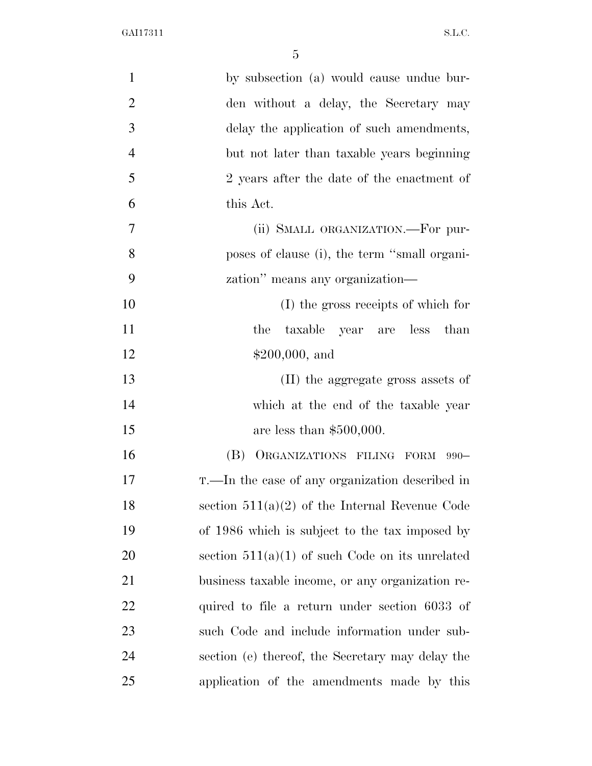| $\mathbf{1}$   | by subsection (a) would cause undue bur-          |
|----------------|---------------------------------------------------|
| $\overline{2}$ | den without a delay, the Secretary may            |
| 3              | delay the application of such amendments,         |
| $\overline{4}$ | but not later than taxable years beginning        |
| 5              | 2 years after the date of the enactment of        |
| 6              | this Act.                                         |
| 7              | (ii) SMALL ORGANIZATION.-For pur-                 |
| 8              | poses of clause (i), the term "small organi-      |
| 9              | zation" means any organization-                   |
| 10             | (I) the gross receipts of which for               |
| 11             | taxable year are less than<br>the                 |
| 12             | $$200,000, \text{ and}$                           |
| 13             | (II) the aggregate gross assets of                |
| 14             | which at the end of the taxable year              |
| 15             | are less than $$500,000$ .                        |
| 16             | (B) ORGANIZATIONS FILING FORM 990-                |
| 17             | T.—In the case of any organization described in   |
| 18             | section $511(a)(2)$ of the Internal Revenue Code  |
| 19             | of 1986 which is subject to the tax imposed by    |
| 20             | section $511(a)(1)$ of such Code on its unrelated |
| 21             | business taxable income, or any organization re-  |
| 22             | quired to file a return under section 6033 of     |
| 23             | such Code and include information under sub-      |
| 24             | section (e) thereof, the Secretary may delay the  |
| 25             | application of the amendments made by this        |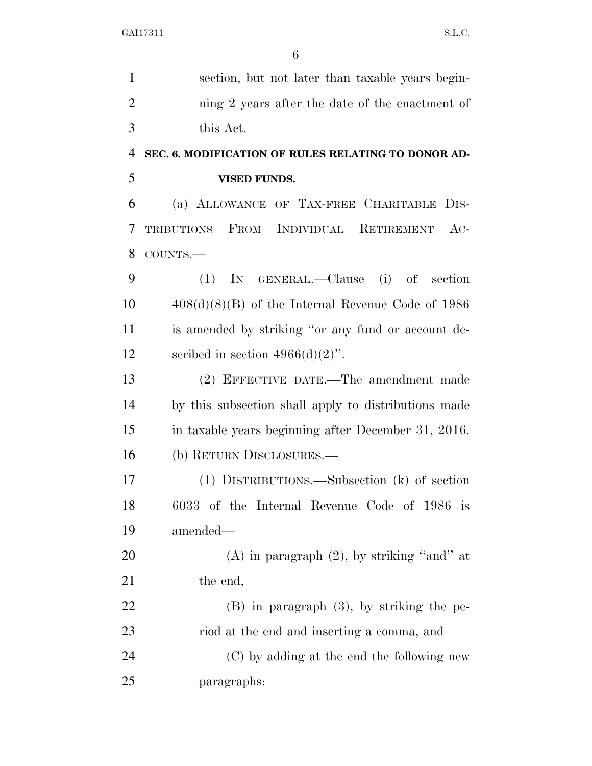| $\mathbf{1}$   | section, but not later than taxable years begin-          |
|----------------|-----------------------------------------------------------|
| $\overline{2}$ | ning 2 years after the date of the enactment of           |
| 3              | this Act.                                                 |
| $\overline{4}$ | SEC. 6. MODIFICATION OF RULES RELATING TO DONOR AD-       |
| 5              | <b>VISED FUNDS.</b>                                       |
| 6              | (a) ALLOWANCE OF TAX-FREE CHARITABLE<br>D <sub>IS</sub> - |
| 7              | TRIBUTIONS FROM INDIVIDUAL RETIREMENT<br>$AC-$            |
| 8              | COUNTS.-                                                  |
| 9              | IN GENERAL.—Clause (i) of<br>(1)<br>section               |
| 10             | $408(d)(8)(B)$ of the Internal Revenue Code of 1986       |
| 11             | is amended by striking "or any fund or account de-        |
| 12             | scribed in section $4966(d)(2)$ ".                        |
| 13             | (2) EFFECTIVE DATE.—The amendment made                    |
| 14             | by this subsection shall apply to distributions made      |
| 15             | in taxable years beginning after December 31, 2016.       |
| 16             | (b) RETURN DISCLOSURES.—                                  |
| 17             | (1) DISTRIBUTIONS.—Subsection (k) of section              |
| 18             | 6033 of the Internal Revenue Code of 1986 is              |
| 19             | amended—                                                  |
| 20             | $(A)$ in paragraph $(2)$ , by striking "and" at           |
| 21             | the end,                                                  |
| 22             | $(B)$ in paragraph $(3)$ , by striking the pe-            |
| 23             | riod at the end and inserting a comma, and                |
| 24             | (C) by adding at the end the following new                |
| 25             | paragraphs:                                               |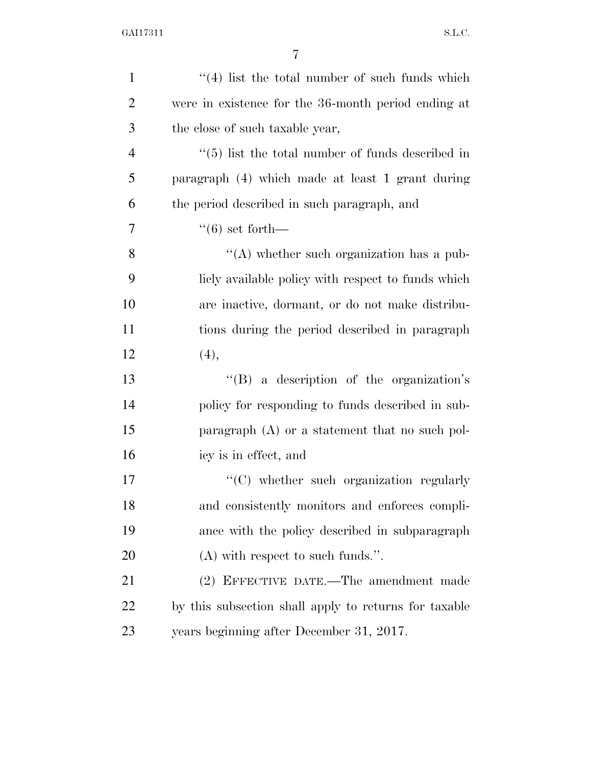| $\mathbf{1}$   | $(4)$ list the total number of such funds which         |
|----------------|---------------------------------------------------------|
| $\overline{2}$ | were in existence for the 36-month period ending at     |
| 3              | the close of such taxable year,                         |
| $\overline{4}$ | $\cdot$ (5) list the total number of funds described in |
| 5              | paragraph (4) which made at least 1 grant during        |
| 6              | the period described in such paragraph, and             |
| 7              | $(6)$ set forth—                                        |
| 8              | "(A) whether such organization has a pub-               |
| 9              | licly available policy with respect to funds which      |
| 10             | are inactive, dormant, or do not make distribu-         |
| 11             | tions during the period described in paragraph          |
| 12             | (4),                                                    |
| 13             | $\lq\lq(B)$ a description of the organization's         |
| 14             | policy for responding to funds described in sub-        |
| 15             | paragraph $(A)$ or a statement that no such pol-        |
| 16             | icy is in effect, and                                   |
| 17             | "(C) whether such organization regularly                |
| 18             | and consistently monitors and enforces compli-          |
| 19             | ance with the policy described in subparagraph          |
| 20             | $(A)$ with respect to such funds.".                     |
| 21             | (2) EFFECTIVE DATE.—The amendment made                  |
| 22             | by this subsection shall apply to returns for taxable   |
| 23             | years beginning after December 31, 2017.                |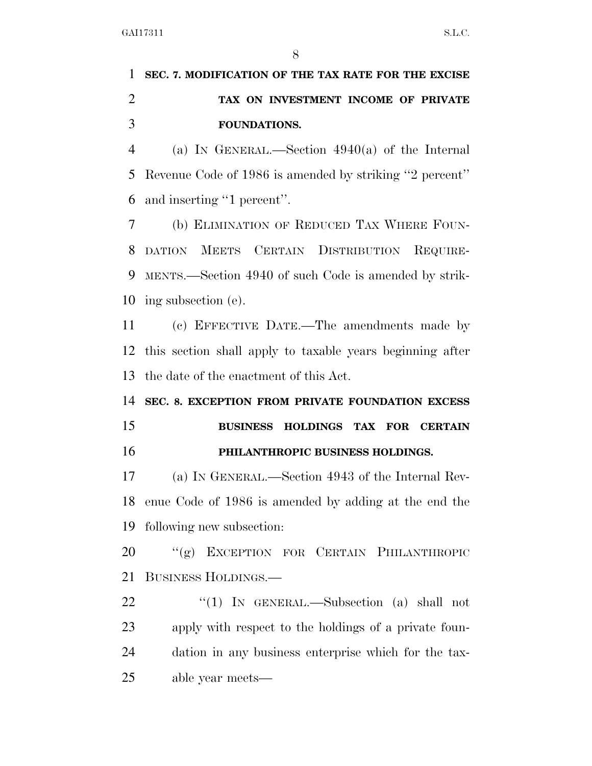# **SEC. 7. MODIFICATION OF THE TAX RATE FOR THE EXCISE TAX ON INVESTMENT INCOME OF PRIVATE FOUNDATIONS.**

 (a) IN GENERAL.—Section 4940(a) of the Internal Revenue Code of 1986 is amended by striking ''2 percent'' and inserting ''1 percent''.

 (b) ELIMINATION OF REDUCED TAX WHERE FOUN- DATION MEETS CERTAIN DISTRIBUTION REQUIRE- MENTS.—Section 4940 of such Code is amended by strik-ing subsection (e).

 (c) EFFECTIVE DATE.—The amendments made by this section shall apply to taxable years beginning after the date of the enactment of this Act.

# **SEC. 8. EXCEPTION FROM PRIVATE FOUNDATION EXCESS BUSINESS HOLDINGS TAX FOR CERTAIN PHILANTHROPIC BUSINESS HOLDINGS.**

 (a) IN GENERAL.—Section 4943 of the Internal Rev- enue Code of 1986 is amended by adding at the end the following new subsection:

20 "(g) EXCEPTION FOR CERTAIN PHILANTHROPIC BUSINESS HOLDINGS.—

22 "(1) IN GENERAL.—Subsection (a) shall not apply with respect to the holdings of a private foun- dation in any business enterprise which for the tax-able year meets—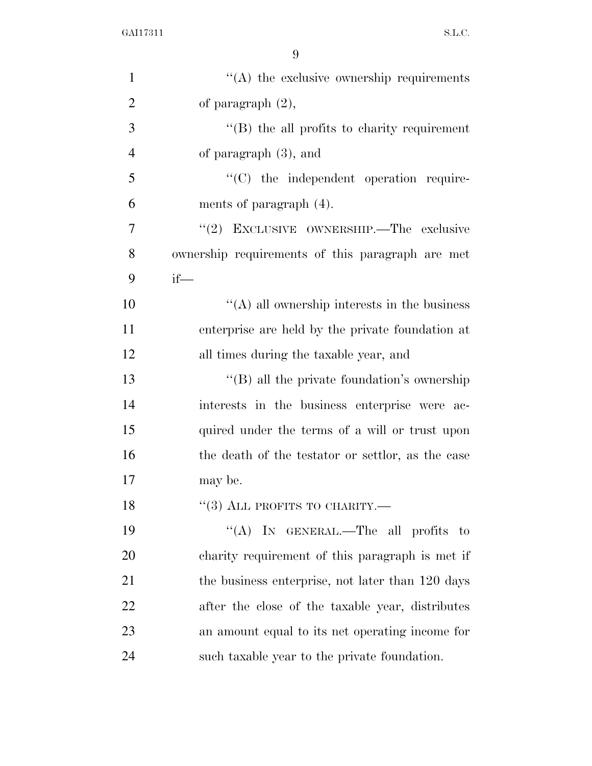| $\mathbf{1}$   | "(A) the exclusive ownership requirements           |
|----------------|-----------------------------------------------------|
| $\overline{2}$ | of paragraph $(2)$ ,                                |
| 3              | $\lq\lq (B)$ the all profits to charity requirement |
| $\overline{4}$ | of paragraph $(3)$ , and                            |
| 5              | "(C) the independent operation require-             |
| 6              | ments of paragraph $(4)$ .                          |
| 7              | "(2) EXCLUSIVE OWNERSHIP.—The exclusive             |
| 8              | ownership requirements of this paragraph are met    |
| 9              | $if$ —                                              |
| 10             | $\lq\lq$ all ownership interests in the business    |
| 11             | enterprise are held by the private foundation at    |
| 12             | all times during the taxable year, and              |
| 13             | $\lq\lq$ (B) all the private foundation's ownership |
| 14             | interests in the business enterprise were ac-       |
| 15             | quired under the terms of a will or trust upon      |
| 16             | the death of the testator or settlor, as the case   |
| 17             | may be.                                             |
| 18             | $``(3)$ ALL PROFITS TO CHARITY.—                    |
| 19             | "(A) IN GENERAL.—The all profits to                 |
| 20             | charity requirement of this paragraph is met if     |
| 21             | the business enterprise, not later than 120 days    |
| 22             | after the close of the taxable year, distributes    |
| 23             | an amount equal to its net operating income for     |
| 24             | such taxable year to the private foundation.        |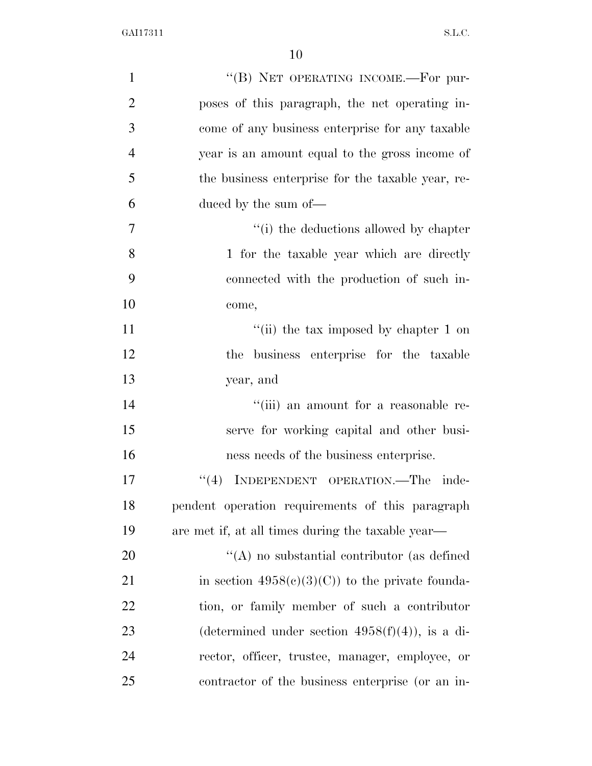| $\mathbf{1}$   | "(B) NET OPERATING INCOME.-For pur-                |
|----------------|----------------------------------------------------|
| $\overline{2}$ | poses of this paragraph, the net operating in-     |
| 3              | come of any business enterprise for any taxable    |
| $\overline{4}$ | year is an amount equal to the gross income of     |
| 5              | the business enterprise for the taxable year, re-  |
| 6              | duced by the sum of—                               |
| $\overline{7}$ | "(i) the deductions allowed by chapter             |
| 8              | 1 for the taxable year which are directly          |
| 9              | connected with the production of such in-          |
| 10             | come,                                              |
| 11             | "(ii) the tax imposed by chapter 1 on              |
| 12             | the business enterprise for the taxable            |
| 13             | year, and                                          |
| 14             | "(iii) an amount for a reasonable re-              |
| 15             | serve for working capital and other busi-          |
| 16             | ness needs of the business enterprise.             |
| 17             | INDEPENDENT OPERATION.-The inde-<br>(4)            |
| 18             | pendent operation requirements of this paragraph   |
| 19             | are met if, at all times during the taxable year—  |
| 20             | $\lq\lq$ no substantial contributor (as defined    |
| 21             | in section $4958(c)(3)(C)$ to the private founda-  |
| 22             | tion, or family member of such a contributor       |
| 23             | (determined under section $4958(f)(4)$ ), is a di- |
| 24             | rector, officer, trustee, manager, employee, or    |
| 25             | contractor of the business enterprise (or an in-   |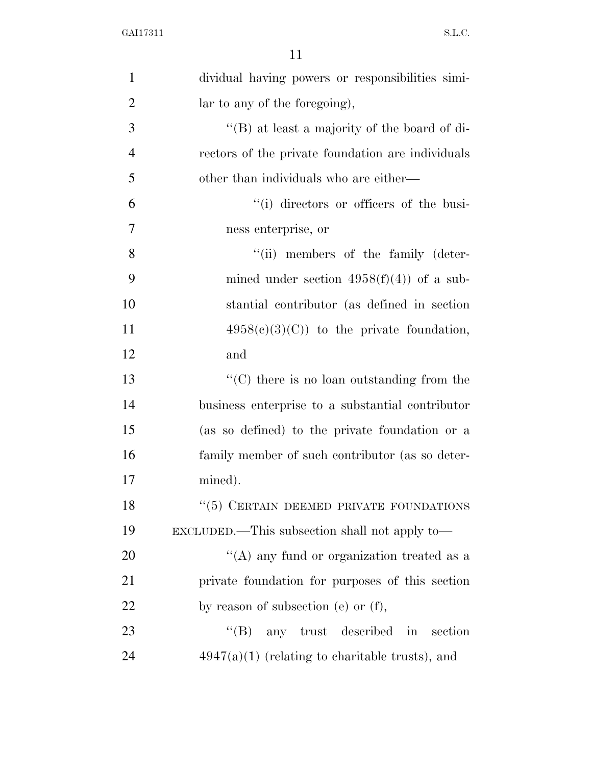| $\mathbf{1}$   | dividual having powers or responsibilities simi-                |
|----------------|-----------------------------------------------------------------|
| $\overline{2}$ | lar to any of the foregoing),                                   |
| 3              | "(B) at least a majority of the board of di-                    |
| $\overline{4}$ | rectors of the private foundation are individuals               |
| 5              | other than individuals who are either—                          |
| 6              | "(i) directors or officers of the busi-                         |
| $\overline{7}$ | ness enterprise, or                                             |
| 8              | "(ii) members of the family (deter-                             |
| 9              | mined under section $4958(f)(4)$ of a sub-                      |
| 10             | stantial contributor (as defined in section                     |
| 11             | $4958(c)(3)(C)$ to the private foundation,                      |
| 12             | and                                                             |
| 13             | $\lq\lq$ <sup>*</sup> (C) there is no loan outstanding from the |
| 14             | business enterprise to a substantial contributor                |
| 15             | (as so defined) to the private foundation or a                  |
| 16             | family member of such contributor (as so deter-                 |
| 17             | mined).                                                         |
| 18             | $``(5)$ CERTAIN DEEMED PRIVATE FOUNDATIONS                      |
| 19             | EXCLUDED.—This subsection shall not apply to—                   |
| 20             | "(A) any fund or organization treated as a                      |
| 21             | private foundation for purposes of this section                 |
| 22             | by reason of subsection (e) or $(f)$ ,                          |
| 23             | $\lq\lq (B)$<br>any trust described in<br>section               |
| 24             | $4947(a)(1)$ (relating to charitable trusts), and               |